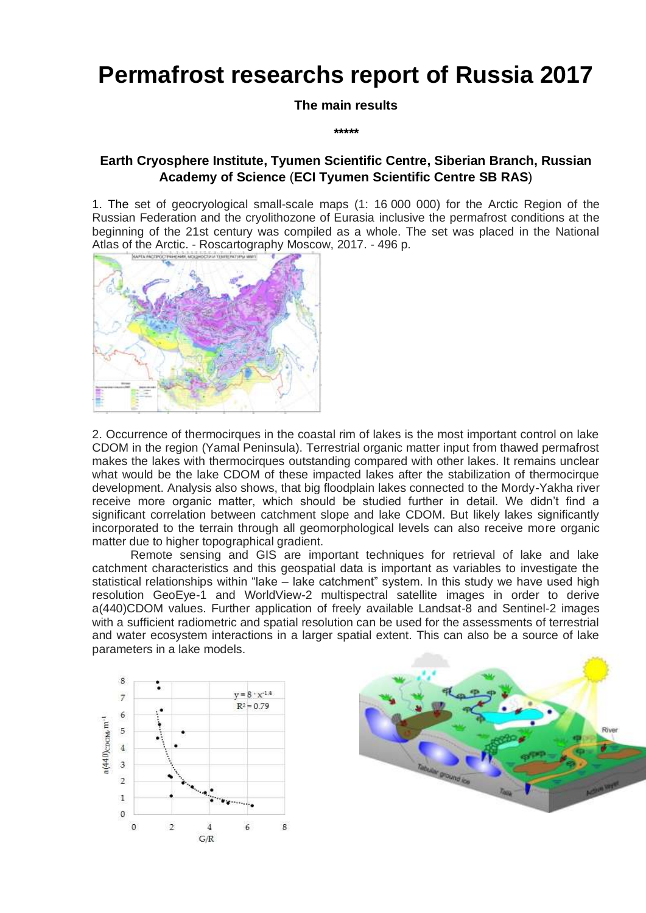# **Permafrost researchs report of Russia 2017**

**The main results**

*\*\*\*\*\**

# **Earth Cryosphere Institute, Tyumen Scientific Centre, Siberian Branch, Russian Academy of Science** (**ECI Tyumen Scientific Centre SB RAS**)

1. The set of geocryological small-scale maps (1: 16 000 000) for the Arctic Region of the Russian Federation and the cryolithozone of Eurasia inclusive the permafrost conditions at the beginning of the 21st century was compiled as a whole. The set was placed in the National Atlas of the Arctic. - Roscartography Moscow, 2017. - 496 p.



2. Occurrence of thermocirques in the coastal rim of lakes is the most important control on lake CDOM in the region (Yamal Peninsula). Terrestrial organic matter input from thawed permafrost makes the lakes with thermocirques outstanding compared with other lakes. It remains unclear what would be the lake CDOM of these impacted lakes after the stabilization of thermocirque development. Analysis also shows, that big floodplain lakes connected to the Mordy-Yakha river receive more organic matter, which should be studied further in detail. We didn't find a significant correlation between catchment slope and lake CDOM. But likely lakes significantly incorporated to the terrain through all geomorphological levels can also receive more organic matter due to higher topographical gradient.

Remote sensing and GIS are important techniques for retrieval of lake and lake catchment characteristics and this geospatial data is important as variables to investigate the statistical relationships within "lake – lake catchment" system. In this study we have used high resolution GeoEye-1 and WorldView-2 multispectral satellite images in order to derive a(440)CDOM values. Further application of freely available Landsat-8 and Sentinel-2 images with a sufficient radiometric and spatial resolution can be used for the assessments of terrestrial and water ecosystem interactions in a larger spatial extent. This can also be a source of lake parameters in a lake models.



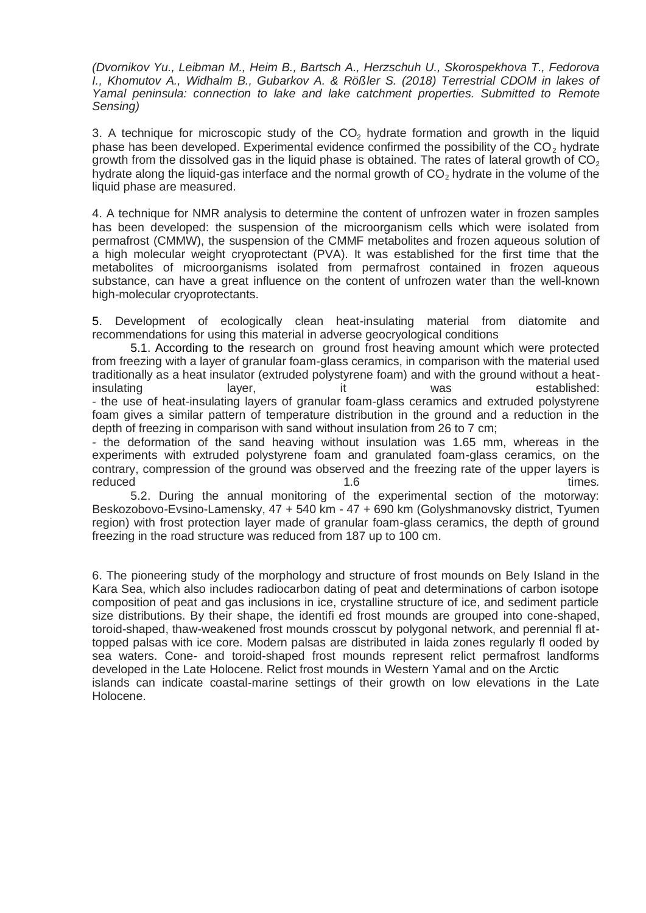*(Dvornikov Yu., Leibman M., Heim B., Bartsch A., Herzschuh U., Skorospekhova T., Fedorova I., Khomutov A., Widhalm B., Gubarkov A. & Rößler S. (2018) Terrestrial CDOM in lakes of Yamal peninsula: connection to lake and lake catchment properties. Submitted to Remote Sensing)*

3. A technique for microscopic study of the  $CO<sub>2</sub>$  hydrate formation and growth in the liquid phase has been developed. Experimental evidence confirmed the possibility of the  $CO<sub>2</sub>$  hydrate growth from the dissolved gas in the liquid phase is obtained. The rates of lateral growth of  $CO<sub>2</sub>$ hydrate along the liquid-gas interface and the normal growth of  $CO<sub>2</sub>$  hydrate in the volume of the liquid phase are measured.

4. A technique for NMR analysis to determine the content of unfrozen water in frozen samples has been developed: the suspension of the microorganism cells which were isolated from permafrost (CMMW), the suspension of the CMMF metabolites and frozen aqueous solution of a high molecular weight cryoprotectant (PVA). It was established for the first time that the metabolites of microorganisms isolated from permafrost contained in frozen aqueous substance, can have a great influence on the content of unfrozen water than the well-known high-molecular cryoprotectants.

5. Development of ecologically clean heat-insulating material from diatomite and recommendations for using this material in adverse geocryological conditions

5.1. According to the research on ground frost heaving amount which were protected from freezing with a layer of granular foam-glass ceramics, in comparison with the material used traditionally as a heat insulator (extruded polystyrene foam) and with the ground without a heatinsulating layer, it was established: - the use of heat-insulating layers of granular foam-glass ceramics and extruded polystyrene foam gives a similar pattern of temperature distribution in the ground and a reduction in the depth of freezing in comparison with sand without insulation from 26 to 7 cm;

- the deformation of the sand heaving without insulation was 1.65 mm, whereas in the experiments with extruded polystyrene foam and granulated foam-glass ceramics, on the contrary, compression of the ground was observed and the freezing rate of the upper layers is<br>times. reduced times.

5.2. During the annual monitoring of the experimental section of the motorway: Beskozobovo-Evsino-Lamensky, 47 + 540 km - 47 + 690 km (Golyshmanovsky district, Tyumen region) with frost protection layer made of granular foam-glass ceramics, the depth of ground freezing in the road structure was reduced from 187 up to 100 cm.

6. The pioneering study of the morphology and structure of frost mounds on Bely Island in the Kara Sea, which also includes radiocarbon dating of peat and determinations of carbon isotope composition of peat and gas inclusions in ice, crystalline structure of ice, and sediment particle size distributions. By their shape, the identifi ed frost mounds are grouped into cone-shaped, toroid-shaped, thaw-weakened frost mounds crosscut by polygonal network, and perennial fl attopped palsas with ice core. Modern palsas are distributed in laida zones regularly fl ooded by sea waters. Cone- and toroid-shaped frost mounds represent relict permafrost landforms developed in the Late Holocene. Relict frost mounds in Western Yamal and on the Arctic islands can indicate coastal-marine settings of their growth on low elevations in the Late Holocene.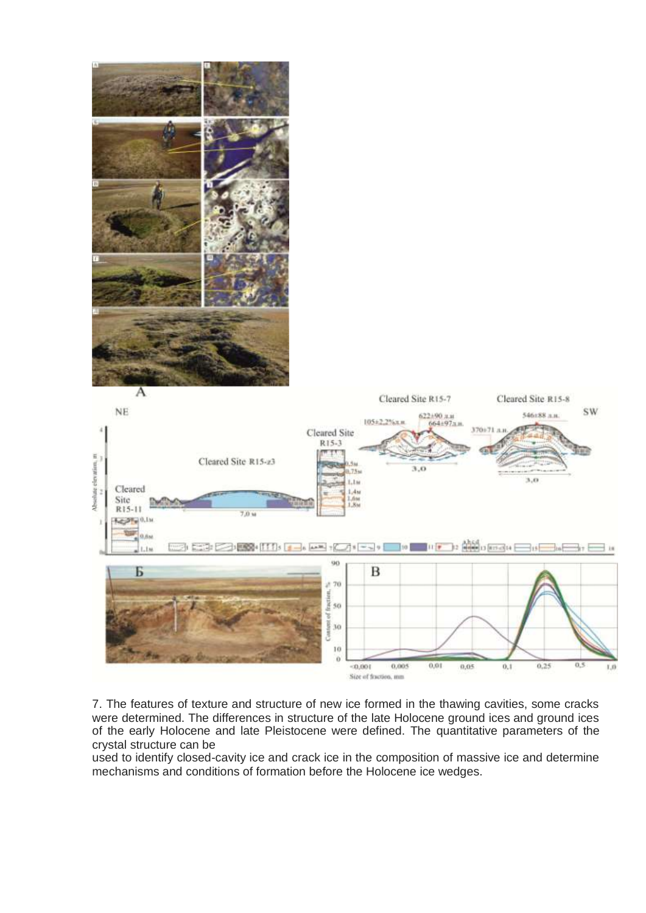

7. The features of texture and structure of new ice formed in the thawing cavities, some cracks were determined. The differences in structure of the late Holocene ground ices and ground ices of the early Holocene and late Pleistocene were defined. The quantitative parameters of the crystal structure can be

used to identify closed-cavity ice and crack ice in the composition of massive ice and determine mechanisms and conditions of formation before the Holocene ice wedges.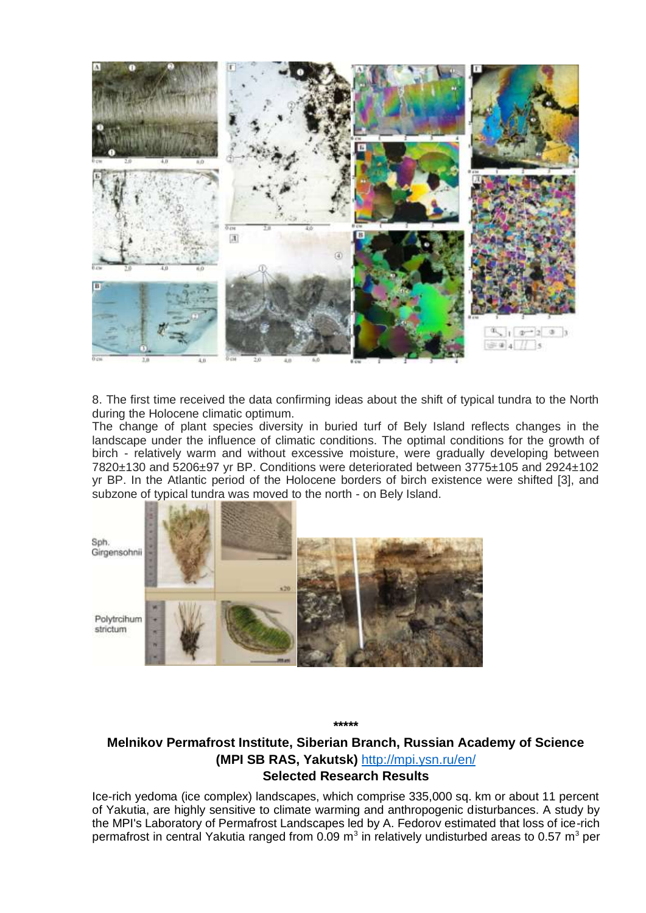

8. The first time received the data confirming ideas about the shift of typical tundra to the North during the Holocene climatic optimum.

The change of plant species diversity in buried turf of Bely Island reflects changes in the landscape under the influence of climatic conditions. The optimal conditions for the growth of birch - relatively warm and without excessive moisture, were gradually developing between 7820±130 and 5206±97 yr BP. Conditions were deteriorated between 3775±105 and 2924±102 yr BP. In the Atlantic period of the Holocene borders of birch existence were shifted [3], and subzone of typical tundra was moved to the north - on Bely Island.



**\*\*\*\*\***

## **Melnikov Permafrost Institute, Siberian Branch, Russian Academy of Science (MPI SB RAS, Yakutsk)** <http://mpi.ysn.ru/en/> **Selected Research Results**

Ice-rich yedoma (ice complex) landscapes, which comprise 335,000 sq. km or about 11 percent of Yakutia, are highly sensitive to climate warming and anthropogenic disturbances. A study by the MPI's Laboratory of Permafrost Landscapes led by A. Fedorov estimated that loss of ice-rich permafrost in central Yakutia ranged from 0.09 m<sup>3</sup> in relatively undisturbed areas to 0.57 m<sup>3</sup> per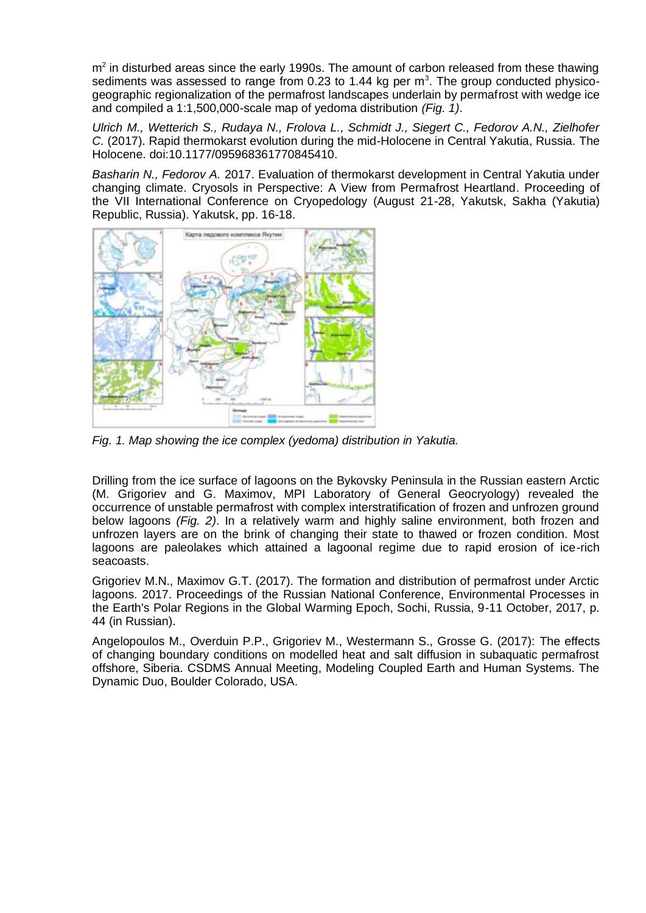$m<sup>2</sup>$  in disturbed areas since the early 1990s. The amount of carbon released from these thawing sediments was assessed to range from 0.23 to 1.44 kg per  $m<sup>3</sup>$ . The group conducted physicogeographic regionalization of the permafrost landscapes underlain by permafrost with wedge ice and compiled a 1:1,500,000-scale map of yedoma distribution *(Fig. 1)*.

*Ulrich M., Wetterich S., Rudaya N., Frolova L., Schmidt J., Siegert C., Fedorov A.N., Zielhofer C.* (2017). Rapid thermokarst evolution during the mid-Holocene in Central Yakutia, Russia. The Holocene. doi:10.1177/095968361770845410.

*Basharin N., Fedorov A.* 2017. Evaluation of thermokarst development in Central Yakutia under changing climate. Cryosols in Perspective: A View from Permafrost Heartland. Proceeding of the VII International Conference on Cryopedology (August 21-28, Yakutsk, Sakha (Yakutia) Republic, Russia). Yakutsk, pp. 16-18.



*Fig. 1. Map showing the ice complex (yedoma) distribution in Yakutia.*

Drilling from the ice surface of lagoons on the Bykovsky Peninsula in the Russian eastern Arctic (M. Grigoriev and G. Maximov, MPI Laboratory of General Geocryology) revealed the occurrence of unstable permafrost with complex interstratification of frozen and unfrozen ground below lagoons *(Fig. 2)*. In a relatively warm and highly saline environment, both frozen and unfrozen layers are on the brink of changing their state to thawed or frozen condition. Most lagoons are paleolakes which attained a lagoonal regime due to rapid erosion of ice-rich seacoasts.

Grigoriev M.N., Maximov G.T. (2017). The formation and distribution of permafrost under Arctic lagoons. 2017. Proceedings of the Russian National Conference, Environmental Processes in the Earth's Polar Regions in the Global Warming Epoch, Sochi, Russia, 9-11 October, 2017, p. 44 (in Russian).

Angelopoulos M., Overduin P.P., Grigoriev M., Westermann S., Grosse G. (2017): The effects of changing boundary conditions on modelled heat and salt diffusion in subaquatic permafrost offshore, Siberia. CSDMS Annual Meeting, Modeling Coupled Earth and Human Systems. The Dynamic Duo, Boulder Colorado, USA.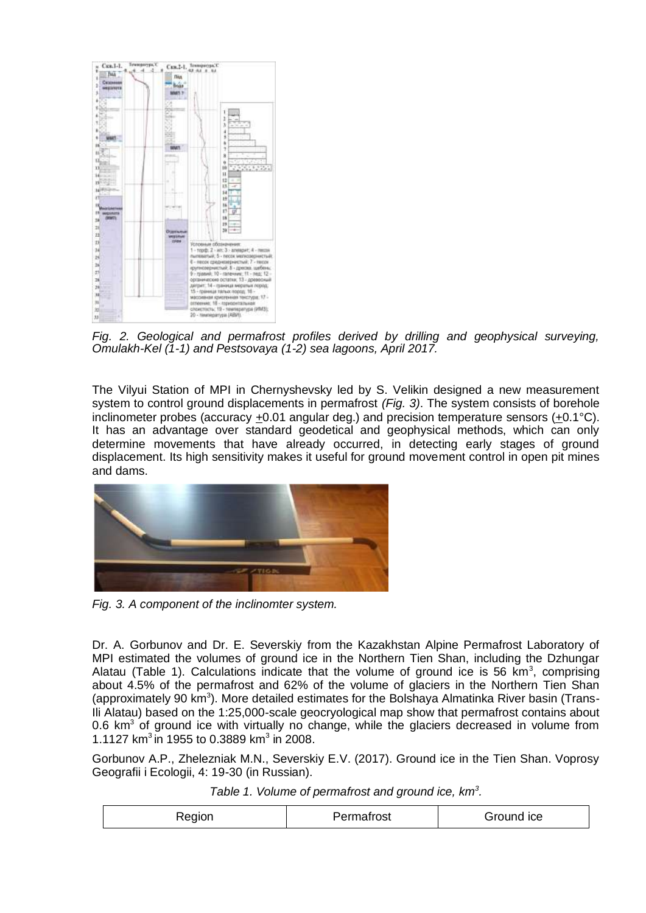

*Fig. 2. Geological and permafrost profiles derived by drilling and geophysical surveying, Omulakh-Kel (1-1) and Pestsovaya (1-2) sea lagoons, April 2017.*

The Vilyui Station of MPI in Chernyshevsky led by S. Velikin designed a new measurement system to control ground displacements in permafrost *(Fig. 3)*. The system consists of borehole inclinometer probes (accuracy  $\pm 0.01$  angular deg.) and precision temperature sensors ( $\pm 0.1^{\circ}$ C). It has an advantage over standard geodetical and geophysical methods, which can only determine movements that have already occurred, in detecting early stages of ground displacement. Its high sensitivity makes it useful for ground movement control in open pit mines and dams.



*Fig. 3. A component of the inclinomter system.*

Dr. A. Gorbunov and Dr. E. Severskiy from the Kazakhstan Alpine Permafrost Laboratory of MPI estimated the volumes of ground ice in the Northern Tien Shan, including the Dzhungar Alatau (Table 1). Calculations indicate that the volume of ground ice is 56  $km^3$ , comprising about 4.5% of the permafrost and 62% of the volume of glaciers in the Northern Tien Shan (approximately 90 km<sup>3</sup>). More detailed estimates for the Bolshaya Almatinka River basin (Trans-Ili Alatau) based on the 1:25,000-scale geocryological map show that permafrost contains about 0.6 km<sup>3</sup> of ground ice with virtually no change, while the glaciers decreased in volume from 1.1127 km<sup>3</sup> in 1955 to 0.3889 km<sup>3</sup> in 2008.

Gorbunov A.P., Zhelezniak M.N., Severskiy E.V. (2017). Ground ice in the Tien Shan. Voprosy Geografii i Ecologii, 4: 19-30 (in Russian).

*Table 1. Volume of permafrost and ground ice, km<sup>3</sup> .*

| <b>Region</b> | Permatrost | Fround Ice |
|---------------|------------|------------|
|---------------|------------|------------|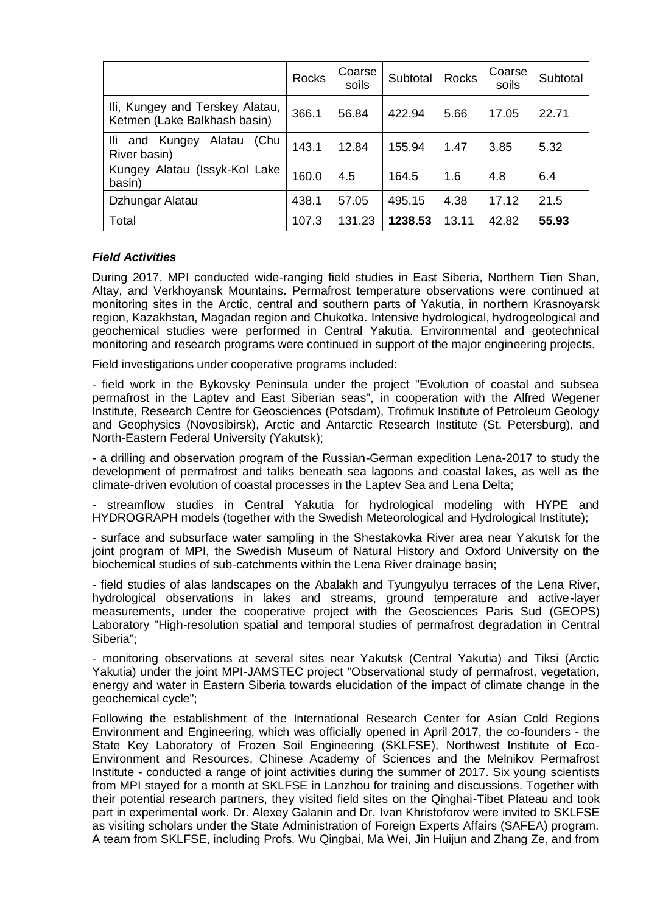|                                                                 | <b>Rocks</b> | Coarse<br>soils | Subtotal | <b>Rocks</b> | Coarse<br>soils | Subtotal |
|-----------------------------------------------------------------|--------------|-----------------|----------|--------------|-----------------|----------|
| Ili, Kungey and Terskey Alatau,<br>Ketmen (Lake Balkhash basin) | 366.1        | 56.84           | 422.94   | 5.66         | 17.05           | 22.71    |
| lli.<br>Alatau<br>(Chu<br>Kungey<br>and<br>River basin)         | 143.1        | 12.84           | 155.94   | 1.47         | 3.85            | 5.32     |
| Kungey Alatau (Issyk-Kol Lake<br>basin)                         | 160.0        | 4.5             | 164.5    | 1.6          | 4.8             | 6.4      |
| Dzhungar Alatau                                                 | 438.1        | 57.05           | 495.15   | 4.38         | 17.12           | 21.5     |
| Total                                                           | 107.3        | 131.23          | 1238.53  | 13.11        | 42.82           | 55.93    |

### *Field Activities*

During 2017, MPI conducted wide-ranging field studies in East Siberia, Northern Tien Shan, Altay, and Verkhoyansk Mountains. Permafrost temperature observations were continued at monitoring sites in the Arctic, central and southern parts of Yakutia, in northern Krasnoyarsk region, Kazakhstan, Magadan region and Chukotka. Intensive hydrological, hydrogeological and geochemical studies were performed in Central Yakutia. Environmental and geotechnical monitoring and research programs were continued in support of the major engineering projects.

Field investigations under cooperative programs included:

- field work in the Bykovsky Peninsula under the project "Evolution of coastal and subsea permafrost in the Laptev and East Siberian seas", in cooperation with the Alfred Wegener Institute, Research Centre for Geosciences (Potsdam), Trofimuk Institute of Petroleum Geology and Geophysics (Novosibirsk), Arctic and Antarctic Research Institute (St. Petersburg), and North-Eastern Federal University (Yakutsk);

- a drilling and observation program of the Russian-German expedition Lena-2017 to study the development of permafrost and taliks beneath sea lagoons and coastal lakes, as well as the climate-driven evolution of coastal processes in the Laptev Sea and Lena Delta;

streamflow studies in Central Yakutia for hydrological modeling with HYPE and HYDROGRAPH models (together with the Swedish Meteorological and Hydrological Institute);

- surface and subsurface water sampling in the Shestakovka River area near Yakutsk for the joint program of MPI, the Swedish Museum of Natural History and Oxford University on the biochemical studies of sub-catchments within the Lena River drainage basin;

- field studies of alas landscapes on the Abalakh and Tyungyulyu terraces of the Lena River, hydrological observations in lakes and streams, ground temperature and active-layer measurements, under the cooperative project with the Geosciences Paris Sud (GEOPS) Laboratory "High-resolution spatial and temporal studies of permafrost degradation in Central Siberia";

- monitoring observations at several sites near Yakutsk (Central Yakutia) and Tiksi (Arctic Yakutia) under the joint MPI-JAMSTEC project "Observational study of permafrost, vegetation, energy and water in Eastern Siberia towards elucidation of the impact of climate change in the geochemical cycle";

Following the establishment of the International Research Center for Asian Cold Regions Environment and Engineering, which was officially opened in April 2017, the co-founders - the State Key Laboratory of Frozen Soil Engineering (SKLFSE), Northwest Institute of Eco-Environment and Resources, Chinese Academy of Sciences and the Melnikov Permafrost Institute - conducted a range of joint activities during the summer of 2017. Six young scientists from MPI stayed for a month at SKLFSE in Lanzhou for training and discussions. Together with their potential research partners, they visited field sites on the Qinghai-Tibet Plateau and took part in experimental work. Dr. Alexey Galanin and Dr. Ivan Khristoforov were invited to SKLFSE as visiting scholars under the State Administration of Foreign Experts Affairs (SAFEA) program. A team from SKLFSE, including Profs. Wu Qingbai, Ma Wei, Jin Huijun and Zhang Ze, and from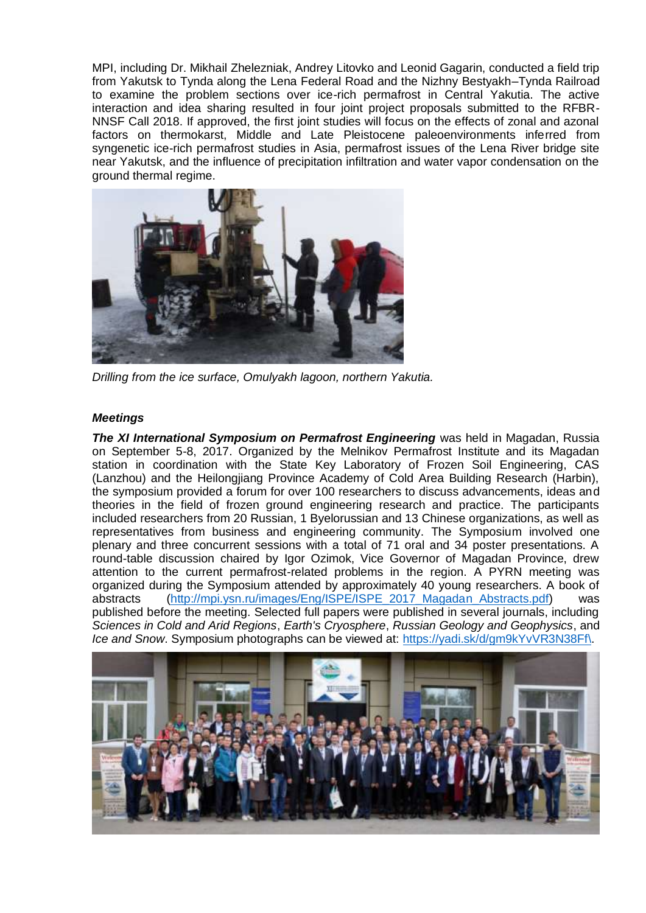MPI, including Dr. Mikhail Zhelezniak, Andrey Litovko and Leonid Gagarin, conducted a field trip from Yakutsk to Tynda along the Lena Federal Road and the Nizhny Bestyakh–Tynda Railroad to examine the problem sections over ice-rich permafrost in Central Yakutia. The active interaction and idea sharing resulted in four joint project proposals submitted to the RFBR-NNSF Call 2018. If approved, the first joint studies will focus on the effects of zonal and azonal factors on thermokarst, Middle and Late Pleistocene paleoenvironments inferred from syngenetic ice-rich permafrost studies in Asia, permafrost issues of the Lena River bridge site near Yakutsk, and the influence of precipitation infiltration and water vapor condensation on the ground thermal regime.



*Drilling from the ice surface, Omulyakh lagoon, northern Yakutia.*

### *Meetings*

*The XI International Symposium on Permafrost Engineering* was held in Magadan, Russia on September 5-8, 2017. Organized by the Melnikov Permafrost Institute and its Magadan station in coordination with the State Key Laboratory of Frozen Soil Engineering, CAS (Lanzhou) and the Heilongjiang Province Academy of Cold Area Building Research (Harbin), the symposium provided a forum for over 100 researchers to discuss advancements, ideas and theories in the field of frozen ground engineering research and practice. The participants included researchers from 20 Russian, 1 Byelorussian and 13 Chinese organizations, as well as representatives from business and engineering community. The Symposium involved one plenary and three concurrent sessions with a total of 71 oral and 34 poster presentations. A round-table discussion chaired by Igor Ozimok, Vice Governor of Magadan Province, drew attention to the current permafrost-related problems in the region. A PYRN meeting was organized during the Symposium attended by approximately 40 young researchers. A book of abstracts [\(http://mpi.ysn.ru/images/Eng/ISPE/ISPE\\_2017\\_Magadan\\_Abstracts.pdf\)](http://mpi.ysn.ru/images/Eng/ISPE/ISPE_2017_Magadan_Abstracts.pdf) was published before the meeting. Selected full papers were published in several journals, including *Sciences in Cold and Arid Regions*, *Earth's Cryosphere*, *Russian Geology and Geophysics*, and *Ice and Snow*. Symposium photographs can be viewed at: [https://yadi.sk/d/gm9kYvVR3N38Ff\.](https://yadi.sk/d/gm9kYvVR3N38Ff/)

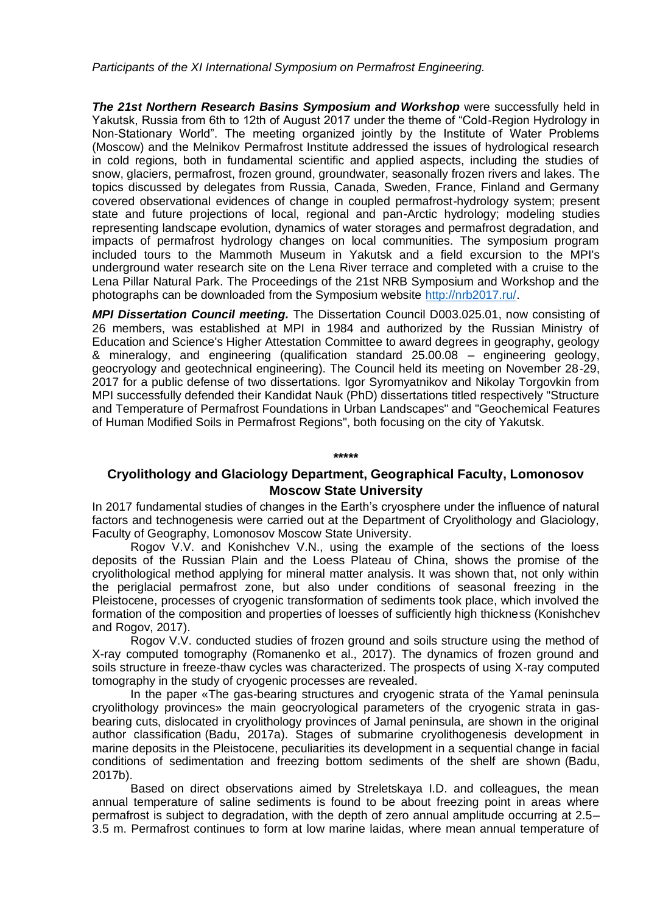*Participants of the XI International Symposium on Permafrost Engineering.*

*The 21st Northern Research Basins Symposium and Workshop* were successfully held in Yakutsk, Russia from 6th to 12th of August 2017 under the theme of "Cold-Region Hydrology in Non-Stationary World". The meeting organized jointly by the Institute of Water Problems (Moscow) and the Melnikov Permafrost Institute addressed the issues of hydrological research in cold regions, both in fundamental scientific and applied aspects, including the studies of snow, glaciers, permafrost, frozen ground, groundwater, seasonally frozen rivers and lakes. The topics discussed by delegates from Russia, Canada, Sweden, France, Finland and Germany covered observational evidences of change in coupled permafrost-hydrology system; present state and future projections of local, regional and pan-Arctic hydrology; modeling studies representing landscape evolution, dynamics of water storages and permafrost degradation, and impacts of permafrost hydrology changes on local communities. The symposium program included tours to the Mammoth Museum in Yakutsk and a field excursion to the MPI's underground water research site on the Lena River terrace and completed with a cruise to the Lena Pillar Natural Park. The Proceedings of the 21st NRB Symposium and Workshop and the photographs can be downloaded from the Symposium website [http://nrb2017.ru/.](http://nrb2017.ru/)

*MPI Dissertation Council meeting.* The Dissertation Council D003.025.01, now consisting of 26 members, was established at MPI in 1984 and authorized by the Russian Ministry of Education and Science's Higher Attestation Committee to award degrees in geography, geology & mineralogy, and engineering (qualification standard 25.00.08 – engineering geology, geocryology and geotechnical engineering). The Council held its meeting on November 28-29, 2017 for a public defense of two dissertations. Igor Syromyatnikov and Nikolay Torgovkin from MPI successfully defended their Kandidat Nauk (PhD) dissertations titled respectively "Structure and Temperature of Permafrost Foundations in Urban Landscapes" and "Geochemical Features of Human Modified Soils in Permafrost Regions", both focusing on the city of Yakutsk.

## **\*\*\*\*\***

### **Cryolithology and Glaciology Department, Geographical Faculty, Lomonosov Moscow State University**

In 2017 fundamental studies of changes in the Earth's cryosphere under the influence of natural factors and technogenesis were carried out at the Department of Cryolithology and Glaciology, Faculty of Geography, Lomonosov Moscow State University.

Rogov V.V. and Konishchev V.N., using the example of the sections of the loess deposits of the Russian Plain and the Loess Plateau of China, shows the promise of the cryolithological method applying for mineral matter analysis. It was shown that, not only within the periglacial permafrost zone, but also under conditions of seasonal freezing in the Pleistocene, processes of cryogenic transformation of sediments took place, which involved the formation of the composition and properties of loesses of sufficiently high thickness (Konishchev and Rogov, 2017).

Rogov V.V. conducted studies of frozen ground and soils structure using the method of X-ray computed tomography (Romanenko et al., 2017). The dynamics of frozen ground and soils structure in freeze-thaw cycles was characterized. The prospects of using X-ray computed tomography in the study of cryogenic processes are revealed.

In the paper «The gas-bearing structures and cryogenic strata of the Yamal peninsula cryolithology provinces» the main geocryological parameters of the cryogenic strata in gasbearing cuts, dislocated in cryolithology provinces of Jamal peninsula, are shown in the original author classification (Badu, 2017a). Stages of submarine cryolithogenesis development in marine deposits in the Pleistocene, peculiarities its development in a sequential change in facial conditions of sedimentation and freezing bottom sediments of the shelf are shown (Badu, 2017b).

Based on direct observations aimed by Streletskaya I.D. and colleagues, the mean annual temperature of saline sediments is found to be about freezing point in areas where permafrost is subject to degradation, with the depth of zero annual amplitude occurring at 2.5– 3.5 m. Permafrost continues to form at low marine laidas, where mean annual temperature of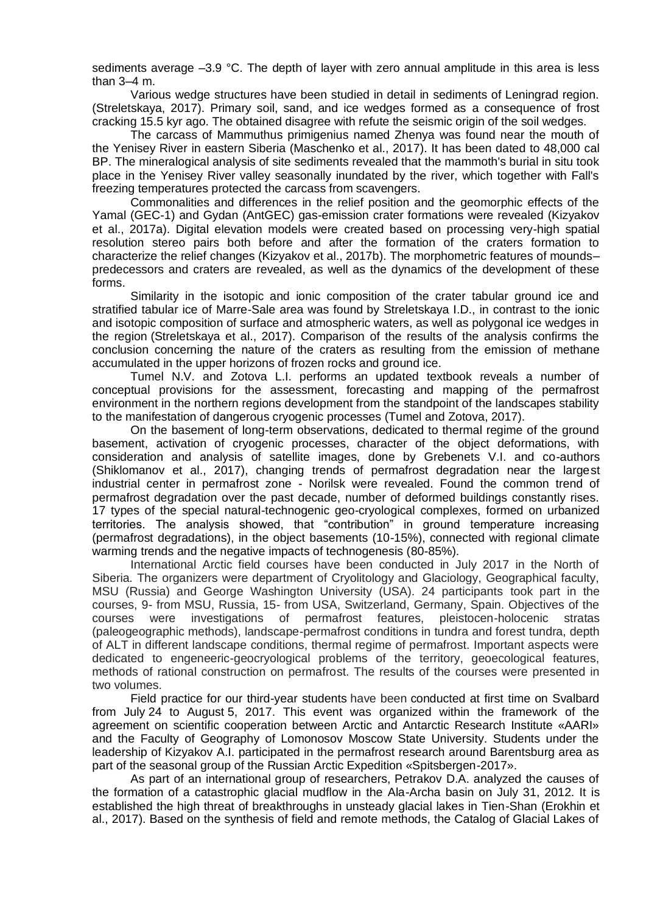sediments average –3.9 °C. The depth of layer with zero annual amplitude in this area is less than 3–4 m.

Various wedge structures have been studied in detail in sediments of Leningrad region. (Streletskaya, 2017). Primary soil, sand, and ice wedges formed as a consequence of frost cracking 15.5 kyr ago. The obtained disagree with refute the seismic origin of the soil wedges.

The carcass of Mammuthus primigenius named Zhenya was found near the mouth of the Yenisey River in eastern Siberia (Maschenko et al., 2017). It has been dated to 48,000 cal BP. The mineralogical analysis of site sediments revealed that the mammoth's burial in situ took place in the Yenisey River valley seasonally inundated by the river, which together with Fall's freezing temperatures protected the carcass from scavengers.

Commonalities and differences in the relief position and the geomorphic effects of the Yamal (GEC-1) and Gydan (AntGEC) gas-emission crater formations were revealed (Kizyakov et al., 2017a). Digital elevation models were created based on processing very-high spatial resolution stereo pairs both before and after the formation of the craters formation to characterize the relief changes (Kizyakov et al., 2017b). The morphometric features of mounds– predecessors and craters are revealed, as well as the dynamics of the development of these forms.

Similarity in the isotopic and ionic composition of the crater tabular ground ice and stratified tabular ice of Marre-Sale area was found by Streletskaya I.D., in contrast to the ionic and isotopic composition of surface and atmospheric waters, as well as polygonal ice wedges in the region (Streletskaya et al., 2017). Comparison of the results of the analysis confirms the conclusion concerning the nature of the craters as resulting from the emission of methane accumulated in the upper horizons of frozen rocks and ground ice.

Tumel N.V. and Zotova L.I. performs an updated textbook reveals a number of conceptual provisions for the assessment, forecasting and mapping of the permafrost environment in the northern regions development from the standpoint of the landscapes stability to the manifestation of dangerous cryogenic processes (Tumel and Zotova, 2017).

On the basement of long-term observations, dedicated to thermal regime of the ground basement, activation of cryogenic processes, character of the object deformations, with consideration and analysis of satellite images, done by Grebenets V.I. and co-authors (Shiklomanov et al., 2017), changing trends of permafrost degradation near the largest industrial center in permafrost zone - Norilsk were revealed. Found the common trend of permafrost degradation over the past decade, number of deformed buildings constantly rises. 17 types of the special natural-technogenic geo-cryological complexes, formed on urbanized territories. The analysis showed, that "contribution" in ground temperature increasing (permafrost degradations), in the object basements (10-15%), connected with regional climate warming trends and the negative impacts of technogenesis (80-85%).

International Arctic field courses have been conducted in July 2017 in the North of Siberia. The organizers were department of Cryolitology and Glaciology, Geographical faculty, MSU (Russia) and George Washington University (USA). 24 participants took part in the courses, 9- from MSU, Russia, 15- from USA, Switzerland, Germany, Spain. Objectives of the courses were investigations of permafrost features, pleistocen-holocenic stratas (paleogeographic methods), landscape-permafrost conditions in tundra and forest tundra, depth of ALT in different landscape conditions, thermal regime of permafrost. Important aspects were dedicated to engeneeric-geocryological problems of the territory, geoecological features, methods of rational construction on permafrost. The results of the courses were presented in two volumes.

Field practice for our third-year students have been conducted at first time on Svalbard from July 24 to August 5, 2017. This event was organized within the framework of the agreement on scientific cooperation between Arctic and Antarctic Research Institute «AARI» and the Faculty of Geography of Lomonosov Moscow State University. Students under the leadership of Kizyakov A.I. participated in the permafrost research around Barentsburg area as part of the seasonal group of the Russian Arctic Expedition «Spitsbergen-2017».

As part of an international group of researchers, Petrakov D.A. analyzed the causes of the formation of a catastrophic glacial mudflow in the Ala-Archa basin on July 31, 2012. It is established the high threat of breakthroughs in unsteady glacial lakes in Tien-Shan (Erokhin et al., 2017). Based on the synthesis of field and remote methods, the Catalog of Glacial Lakes of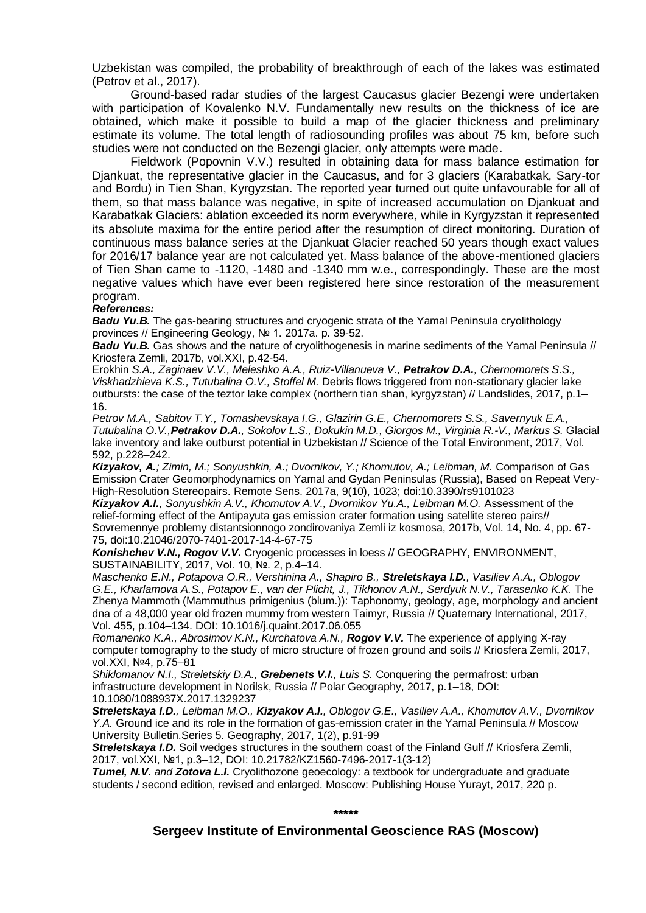Uzbekistan was compiled, the probability of breakthrough of each of the lakes was estimated (Petrov et al., 2017).

Ground-based radar studies of the largest Caucasus glacier Bezengi were undertaken with participation of Kovalenko N.V. Fundamentally new results on the thickness of ice are obtained, which make it possible to build a map of the glacier thickness and preliminary estimate its volume. The total length of radiosounding profiles was about 75 km, before such studies were not conducted on the Bezengi glacier, only attempts were made.

Fieldwork (Popovnin V.V.) resulted in obtaining data for mass balance estimation for Djankuat, the representative glacier in the Caucasus, and for 3 glaciers (Karabatkak, Sary-tor and Bordu) in Tien Shan, Kyrgyzstan. The reported year turned out quite unfavourable for all of them, so that mass balance was negative, in spite of increased accumulation on Djankuat and Karabatkak Glaciers: ablation exceeded its norm everywhere, while in Kyrgyzstan it represented its absolute maxima for the entire period after the resumption of direct monitoring. Duration of continuous mass balance series at the Djankuat Glacier reached 50 years though exact values for 2016/17 balance year are not calculated yet. Mass balance of the above-mentioned glaciers of Tien Shan came to -1120, -1480 and -1340 mm w.e., correspondingly. These are the most negative values which have ever been registered here since restoration of the measurement program.

#### *References:*

**Badu Yu.B.** The gas-bearing structures and cryogenic strata of the Yamal Peninsula cryolithology provinces // Engineering Geology, № 1. 2017a. p. 39-52.

*Badu Yu.B.* Gas shows and the nature of cryolithogenesis in marine sediments of the Yamal Peninsula // Kriosfera Zemli, 2017b, vol.XXI, p.42-54.

Erokhin *S.A., Zaginaev V.V., Meleshko A.A., Ruiz-Villanueva V., Petrakov D.A., Chernomorets S.S., Viskhadzhieva K.S., Tutubalina O.V., Stoffel M.* Debris flows triggered from non-stationary glacier lake outbursts: the case of the teztor lake complex (northern tian shan, kyrgyzstan) // Landslides, 2017, p.1– 16.

*Petrov M.A., Sabitov T.Y., Tomashevskaya I.G., Glazirin G.E., Chernomorets S.S., Savernyuk E.A., Tutubalina O.V.,Petrakov D.A., Sokolov L.S., Dokukin M.D., Giorgos M., Virginia R.-V., Markus S.* Glacial lake inventory and lake outburst potential in Uzbekistan // Science of the Total Environment, 2017, Vol. 592, p.228–242.

*Kizyakov, A.; Zimin, M.; Sonyushkin, A.; Dvornikov, Y.; Khomutov, A.; Leibman, M.* Comparison of Gas Emission Crater Geomorphodynamics on Yamal and Gydan Peninsulas (Russia), Based on Repeat Very-High-Resolution Stereopairs. Remote Sens. 2017a, 9(10), 1023; doi:10.3390/rs9101023

*Kizyakov A.I., Sonyushkin A.V., Khomutov A.V., Dvornikov Yu.A., Leibman M.O.* Assessment of the relief-forming effect of the Antipayuta gas emission crater formation using satellite stereo pairs// Sovremennye problemy distantsionnogo zondirovaniya Zemli iz kosmosa, 2017b, Vol. 14, No. 4, pp. 67- 75, doi:10.21046/2070-7401-2017-14-4-67-75

*Konishchev V.N., Rogov V.V.* Cryogenic processes in loess // GEOGRAPHY, ENVIRONMENT, SUSTAINABILITY, 2017, Vol. 10, №. 2, p.4–14.

*Maschenko E.N., Potapova O.R., Vershinina A., Shapiro B., Streletskaya I.D., Vasiliev A.A., Oblogov G.E., Kharlamova A.S., Potapov E., van der Plicht, J., Tikhonov A.N., Serdyuk N.V., Tarasenko K.K.* The Zhenya Mammoth (Mammuthus primigenius (blum.)): Taphonomy, geology, age, morphology and ancient dna of a 48,000 year old frozen mummy from western Taimyr, Russia // Quaternary International, 2017, Vol. 455, p.104–134. DOI: 10.1016/j.quaint.2017.06.055

*Romanenko K.A., Abrosimov K.N., Kurchatova A.N., Rogov V.V.* The experience of applying X-ray computer tomography to the study of micro structure of frozen ground and soils // Kriosfera Zemli, 2017, vol.XXI, №4, p.75–81

*Shiklomanov N.I., Streletskiy D.A., Grebenets V.I., Luis S.* Conquering the permafrost: urban infrastructure development in Norilsk, Russia // Polar Geography, 2017, p.1–18, DOI: 10.1080/1088937X.2017.1329237

*Streletskaya I.D., Leibman M.O., Kizyakov A.I., Oblogov G.E., Vasiliev A.A., Khomutov A.V., Dvornikov Y.A.* Ground ice and its role in the formation of gas-emission crater in the Yamal Peninsula // Moscow University Bulletin.Series 5. Geography, 2017, 1(2), p.91-99

**Streletskaya I.D.** Soil wedges structures in the southern coast of the Finland Gulf // Kriosfera Zemli, 2017, vol.XXI, №1, p.3–12, DOI: 10.21782/KZ1560-7496-2017-1(3-12)

*Tumel, N.V. and Zotova L.I.* Cryolithozone geoecology: a textbook for undergraduate and graduate students / second edition, revised and enlarged. Moscow: Publishing House Yurayt, 2017, 220 p.

**\*\*\*\*\***

**Sergeev Institute of Environmental Geoscience RAS (Moscow)**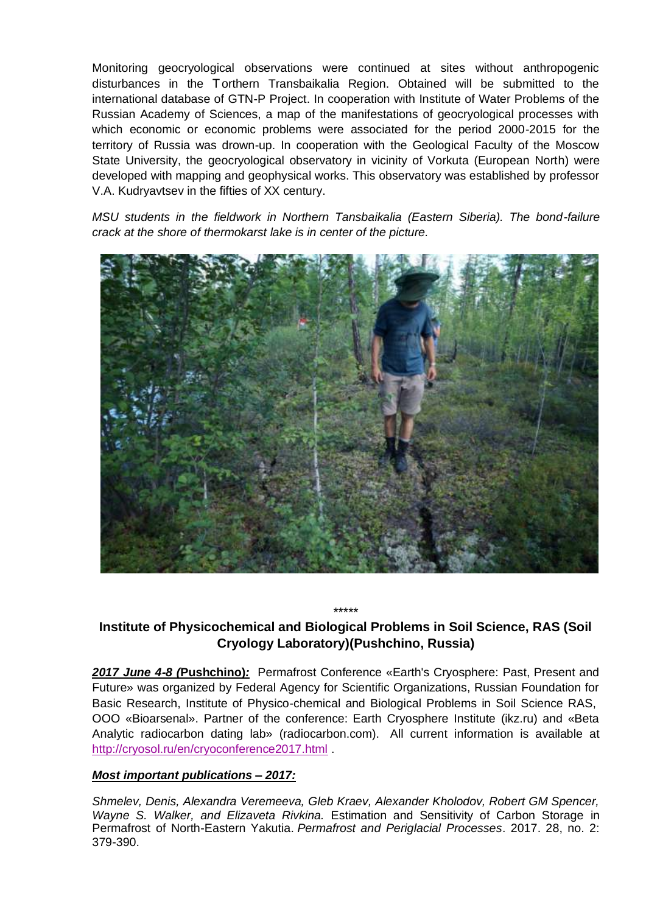Monitoring geocryological observations were continued at sites without anthropogenic disturbances in the Torthern Transbaikalia Region. Obtained will be submitted to the international database of GTN-P Project. In cooperation with Institute of Water Problems of the Russian Academy of Sciences, a map of the manifestations of geocryological processes with which economic or economic problems were associated for the period 2000-2015 for the territory of Russia was drown-up. In cooperation with the Geological Faculty of the Moscow State University, the geocryological observatory in vicinity of Vorkuta (European North) were developed with mapping and geophysical works. This observatory was established by professor V.A. Kudryavtsev in the fifties of XX century.

*MSU students in the fieldwork in Northern Tansbaikalia (Eastern Siberia). The bond-failure crack at the shore of thermokarst lake is in center of the picture.*



## \*\*\*\*\* **Institute of Physicochemical and Biological Problems in Soil Science, RAS (Soil Cryology Laboratory)(Pushchino, Russia)**

*2017 June 4-8 (***Pushchino)***:* Permafrost Conference «Earth's Cryosphere: Past, Present and Future» was organized by Federal Agency for Scientific Organizations, Russian Foundation for Basic Research, Institute of Physico-chemical and Biological Problems in Soil Science RAS, OOO «Bioarsenal». Partner of the conference: Earth Cryosphere Institute (ikz.ru) and «Beta Analytic radiocarbon dating lab» (radiocarbon.com). All current information is available at <http://cryosol.ru/en/cryoconference2017.html> .

### *Most important publications – 2017:*

*Shmelev, Denis, Alexandra Veremeeva, Gleb Kraev, Alexander Kholodov, Robert GM Spencer, Wayne S. Walker, and Elizaveta Rivkina.* Estimation and Sensitivity of Carbon Storage in Permafrost of North-Eastern Yakutia. *Permafrost and Periglacial Processes*. 2017. 28, no. 2: 379-390.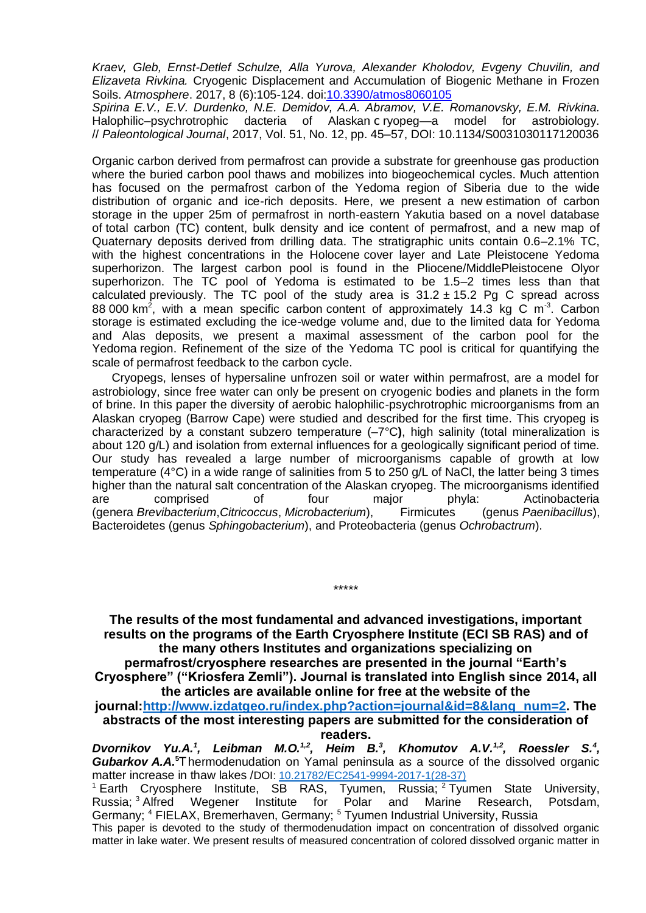*Kraev, Gleb, Ernst-Detlef Schulze, Alla Yurova, Alexander Kholodov, Evgeny Chuvilin, and Elizaveta Rivkina.* Cryogenic Displacement and Accumulation of Biogenic Methane in Frozen Soils. *Atmosphere*. 2017, 8 (6):105-124. doi[:10.3390/atmos8060105](https://clck.yandex.ru/redir/nWO_r1F33ck?data=NnBZTWRhdFZKOHQxUjhzSWFYVGhXWU5JRUlFWjZkVHFSek13VTQ4c1pveGpzRVFIZkRuNDh6M3JxZEI1azdhblJ4bm1WR21ockNseHd5clcwR2dNeXBlLUZ0M1RKZ0t4N3ktcDN0ZEtFalh1R01aVnJpakNRdlVWWHVjQkt6czY&b64e=2&sign=23c3f3e6ee34ea3f77ed6c7935bfc04f&keyno=17)

*Spirina E.V., E.V. Durdenko, N.E. Demidov, A.A. Abramov, V.E. Romanovsky, E.M. Rivkina.* Halophilic–psychrotrophic dacteria of Alaskan с ryopeg—a model for astrobiology. // *Paleontological Journal*, 2017, Vol. 51, No. 12, pp. 45–57, DOI: 10.1134/S0031030117120036

Organic carbon derived from permafrost can provide a substrate for greenhouse gas production where the buried carbon pool thaws and mobilizes into biogeochemical cycles. Much attention has focused on the permafrost carbon of the Yedoma region of Siberia due to the wide distribution of organic and ice-rich deposits. Here, we present a new estimation of carbon storage in the upper 25m of permafrost in north-eastern Yakutia based on a novel database of total carbon (TC) content, bulk density and ice content of permafrost, and a new map of Quaternary deposits derived from drilling data. The stratigraphic units contain 0.6–2.1% TC, with the highest concentrations in the Holocene cover layer and Late Pleistocene Yedoma superhorizon. The largest carbon pool is found in the Pliocene/MiddlePleistocene Olyor superhorizon. The TC pool of Yedoma is estimated to be 1.5–2 times less than that calculated previously. The TC pool of the study area is  $31.2 \pm 15.2$  Pg C spread across 88 000 km<sup>2</sup>, with a mean specific carbon content of approximately 14.3 kg C m<sup>-3</sup>. Carbon storage is estimated excluding the ice-wedge volume and, due to the limited data for Yedoma and Alas deposits, we present a maximal assessment of the carbon pool for the Yedoma region. Refinement of the size of the Yedoma TC pool is critical for quantifying the scale of permafrost feedback to the carbon cycle.

Cryopegs, lenses of hypersaline unfrozen soil or water within permafrost, are a model for astrobiology, since free water can only be present on cryogenic bodies and planets in the form of brine. In this paper the diversity of aerobic halophilic-psychrotrophic microorganisms from an Alaskan cryopeg (Barrow Cape) were studied and described for the first time. This cryopeg is characterized by a constant subzero temperature (–7°C**)**, high salinity (total mineralization is about 120 g/L) and isolation from external influences for a geologically significant period of time. Our study has revealed a large number of microorganisms capable of growth at low temperature (4°C) in a wide range of salinities from 5 to 250 g/L of NaCl, the latter being 3 times higher than the natural salt concentration of the Alaskan cryopeg. The microorganisms identified are comprised of four major phyla: Actinobacteria (genera *Brevibacterium*,*Citricoccus*, *Microbacterium*), Firmicutes (genus *Paenibacillus*), Bacteroidetes (genus *Sphingobacterium*), and Proteobacteria (genus *Ochrobactrum*).

**The results of the most fundamental and advanced investigations, important results on the programs of the Earth Cryosphere Institute (ECI SB RAS) and of the many others Institutes and organizations specializing on permafrost/cryosphere researches are presented in the journal "Earth's Cryosphere" ("Kriosfera Zemli"). Journal is translated into English since 2014, all the articles are available online for free at the website of the** 

\*\*\*\*\*

**journal[:http://www.izdatgeo.ru/index.php?action=journal&id=8&lang\\_num=2.](https://clck.yandex.ru/redir/nWO_r1F33ck?data=NnBZTWRhdFZKOHQxUjhzSWFYVGhXVzNvd28wTTV2eFNONnVjck53akx1b2tSdXlGTHROSGhLUkFlVlBCQy1TcXBWdzJQMDhXVm1tZXE0ZGJkM2dsRWdDcGUyVWRKSVdkc0ZLZjEzcEFiLWZjbnBMMVdTQzJHOTdxOTQ4ZUVNdmlNbUNVTFNUM3BlNEhPWUpXM1RzcGxWV0RjTXJpLXAwS1pXUF9kZjl0ZGVNODg2MkkzSDFlcGc&b64e=2&sign=be7a25065d87f1a267eeba3899b33e1d&keyno=17) The abstracts of the most interesting papers are submitted for the consideration of readers.**

*Dvornikov Yu.A.<sup>1</sup> , Leibman M.O.1,2, Heim B.<sup>3</sup> , Khomutov A.V.1,2, Roessler S.<sup>4</sup> , Gubarkov A.A.***<sup>5</sup>**Т hermodenudation on Yamal peninsula as a source of the dissolved organic matter increase in thaw lakes /DOI: [10.21782/EC2541-9994-2017-1\(28-37\)](https://clck.yandex.ru/redir/nWO_r1F33ck?data=NnBZTWRhdFZKOHQxUjhzSWFYVGhXWU5JRUlFWjZkVHFSek13VTQ4c1pveGVRWHJVM1NQSm9ZTlFaTnJCREVqaVZNc0J0cGpsTmlvSXRlc1Eyd0U2ajItQm5UR2Y5a0tzeTJkQWFQM1NsNWRXVXZLQ2h4bVRGczdaa0FzaHFBSG5PSk5ydTI2TUk0MTI2MnhILVF5WEtn&b64e=2&sign=32cc728b2c7cbb1a0c4d02a0624c90fe&keyno=17)

<sup>1</sup> Earth Cryosphere Institute, SB RAS, Tyumen, Russia;  $2$  Tyumen State University, Russia; <sup>3</sup> Alfred Wegener Institute for Polar and Marine Research, Potsdam, Germany; <sup>4</sup> FIELAX, Bremerhaven, Germany; <sup>5</sup> Tyumen Industrial University, Russia This paper is devoted to the study of thermodenudation impact on concentration of dissolved organic matter in lake water. We present results of measured concentration of colored dissolved organic matter in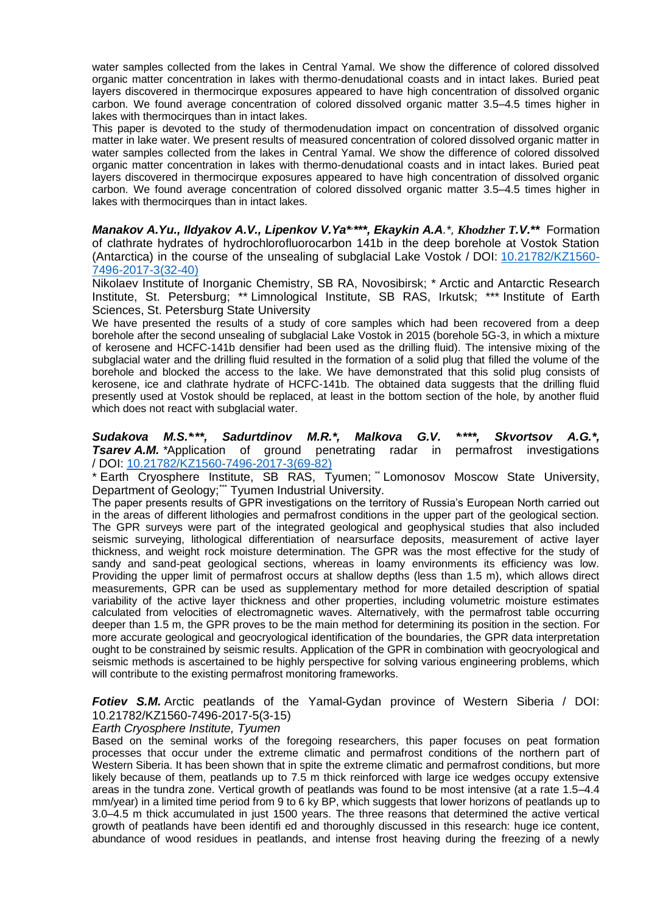water samples collected from the lakes in Central Yamal. We show the difference of colored dissolved organic matter concentration in lakes with thermo-denudational coasts and in intact lakes. Buried peat layers discovered in thermocirque exposures appeared to have high concentration of dissolved organic carbon. We found average concentration of colored dissolved organic matter 3.5–4.5 times higher in lakes with thermocirques than in intact lakes.

This paper is devoted to the study of thermodenudation impact on concentration of dissolved organic matter in lake water. We present results of measured concentration of colored dissolved organic matter in water samples collected from the lakes in Central Yamal. We show the difference of colored dissolved organic matter concentration in lakes with thermo-denudational coasts and in intact lakes. Buried peat layers discovered in thermocirque exposures appeared to have high concentration of dissolved organic carbon. We found average concentration of colored dissolved organic matter 3.5–4.5 times higher in lakes with thermocirques than in intact lakes.

*Manakov A.Yu., Ildyakov A.V., Lipenkov V.Ya<sup>\*</sup><sup>\*\*\*</sup>, <i>Ekaykin A.A.<sup>\*</sup>, Khodzher T.V.*\*\* Formation of clathrate hydrates of hydrochlorofluorocarbon 141b in the deep borehole at Vostok Station (Antarctica) in the course of the unsealing of subglacial Lake Vostok / DOI: [10.21782/KZ1560-](https://clck.yandex.ru/redir/nWO_r1F33ck?data=NnBZTWRhdFZKOHQxUjhzSWFYVGhXWU5JRUlFWjZkVHFSek13VTQ4c1pveGVRWHJVM1NQSm9hdmsxWVlEb3VNcEdPdzNVajh1VjN5YXFHR3FaaHBsQ1VfNkxKczd0WHQzeDR1VVFYV3hqZmswTlNHTWJUWWtVMklNTHNTd2dmdThJanVKYzVTRndCV2xBTmVQcTZaU3dR&b64e=2&sign=2d6361c7163bb859d86e4916ef37209c&keyno=17) [7496-2017-3\(32-40\)](https://clck.yandex.ru/redir/nWO_r1F33ck?data=NnBZTWRhdFZKOHQxUjhzSWFYVGhXWU5JRUlFWjZkVHFSek13VTQ4c1pveGVRWHJVM1NQSm9hdmsxWVlEb3VNcEdPdzNVajh1VjN5YXFHR3FaaHBsQ1VfNkxKczd0WHQzeDR1VVFYV3hqZmswTlNHTWJUWWtVMklNTHNTd2dmdThJanVKYzVTRndCV2xBTmVQcTZaU3dR&b64e=2&sign=2d6361c7163bb859d86e4916ef37209c&keyno=17)

Nikolaev Institute of Inorganic Chemistry, SB RA, Novosibirsk; \* Arctic and Antarctic Research Institute, St. Petersburg; \*\* Limnological Institute, SB RAS, Irkutsk; \*\*\* Institute of Earth Sciences, St. Petersburg State University

We have presented the results of a study of core samples which had been recovered from a deep borehole after the second unsealing of subglacial Lake Vostok in 2015 (borehole 5G-3, in which a mixture of kerosene and HCFC-141b densifier had been used as the drilling fluid). The intensive mixing of the subglacial water and the drilling fluid resulted in the formation of a solid plug that filled the volume of the borehole and blocked the access to the lake. We have demonstrated that this solid plug consists of kerosene, ice and clathrate hydrate of HCFC-141b. The obtained data suggests that the drilling fluid presently used at Vostok should be replaced, at least in the bottom section of the hole, by another fluid which does not react with subglacial water.

*Sudakova M.S.\*, \*\*, Sadurtdinov M.R.\*, Malkova G.V. \*, \*\*\*, Skvortsov A.G.\*,*  **Tsarev A.M.** \*Application of ground penetrating radar in permafrost investigations / DOI: [10.21782/KZ1560-7496-2017-3\(69-82\)](https://clck.yandex.ru/redir/nWO_r1F33ck?data=NnBZTWRhdFZKOHQxUjhzSWFYVGhXWU5JRUlFWjZkVHFSek13VTQ4c1pveGVRWHJVM1NQSm9hdmsxWVlEb3VNcEdPdzNVajh1VjN5cFc4TjBVNFVVWU45NjlheFdXR1lIVnJmMTQ2WW5NMzFBMlloV3FVUDRVN1RqaUcwSUlaU25fb0NqeVM3czZodnI0Wm1xb1hibXBn&b64e=2&sign=a9ea3788fa0bff26457f2257541caeb8&keyno=17)

\* Earth Cryosphere Institute, SB RAS, Tyumen; Lomonosov Moscow State University, Department of Geology;"" Tyumen Industrial University.

The paper presents results of GPR investigations on the territory of Russia's European North carried out in the areas of different lithologies and permafrost conditions in the upper part of the geological section. The GPR surveys were part of the integrated geological and geophysical studies that also included seismic surveying, lithological differentiation of nearsurface deposits, measurement of active layer thickness, and weight rock moisture determination. The GPR was the most effective for the study of sandy and sand-peat geological sections, whereas in loamy environments its efficiency was low. Providing the upper limit of permafrost occurs at shallow depths (less than 1.5 m), which allows direct measurements, GPR can be used as supplementary method for more detailed description of spatial variability of the active layer thickness and other properties, including volumetric moisture estimates calculated from velocities of electromagnetic waves. Alternatively, with the permafrost table occurring deeper than 1.5 m, the GPR proves to be the main method for determining its position in the section. For more accurate geological and geocryological identification of the boundaries, the GPR data interpretation ought to be constrained by seismic results. Application of the GPR in combination with geocryological and seismic methods is ascertained to be highly perspective for solving various engineering problems, which will contribute to the existing permafrost monitoring frameworks.

#### *Fotiev S.M.* Arctic peatlands of the Yamal-Gydan province of Western Siberia / DOI: 10.21782/KZ1560-7496-2017-5(3-15)

#### *Earth Cryosphere Institute, Tyumen*

Based on the seminal works of the foregoing researchers, this paper focuses on peat formation processes that occur under the extreme climatic and permafrost conditions of the northern part of Western Siberia. It has been shown that in spite the extreme climatic and permafrost conditions, but more likely because of them, peatlands up to 7.5 m thick reinforced with large ice wedges occupy extensive areas in the tundra zone. Vertical growth of peatlands was found to be most intensive (at a rate 1.5–4.4 mm/year) in a limited time period from 9 to 6 ky BP, which suggests that lower horizons of peatlands up to 3.0–4.5 m thick accumulated in just 1500 years. The three reasons that determined the active vertical growth of peatlands have been identifi ed and thoroughly discussed in this research: huge ice content, abundance of wood residues in peatlands, and intense frost heaving during the freezing of a newly